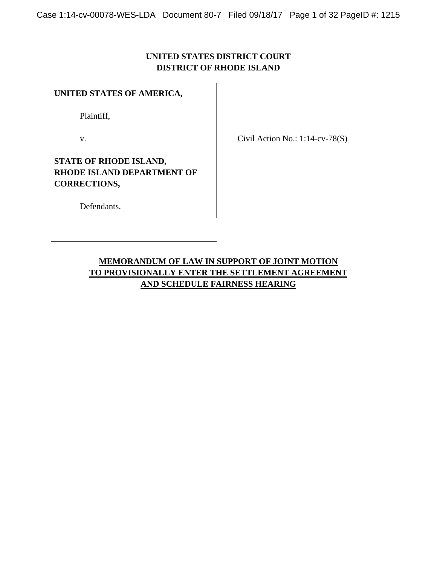## **UNITED STATES DISTRICT COURT DISTRICT OF RHODE ISLAND**

## **UNITED STATES OF AMERICA,**

Plaintiff,

v.

Civil Action No.: 1:14-cv-78(S)

**STATE OF RHODE ISLAND, RHODE ISLAND DEPARTMENT OF CORRECTIONS,**

Defendants.

## **MEMORANDUM OF LAW IN SUPPORT OF JOINT MOTION TO PROVISIONALLY ENTER THE SETTLEMENT AGREEMENT AND SCHEDULE FAIRNESS HEARING**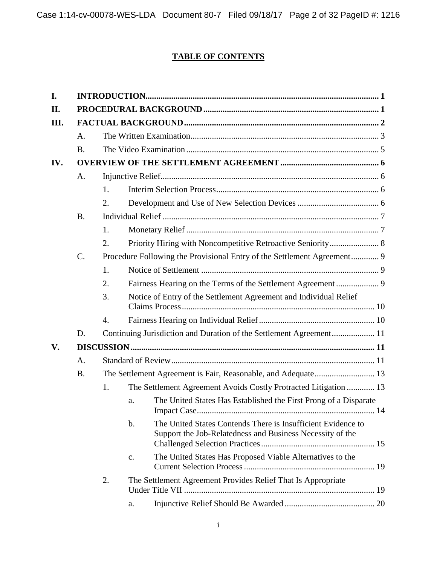## **TABLE OF CONTENTS**

| I.  |                 |                                                                     |               |                                                                                                                           |  |  |  |  |
|-----|-----------------|---------------------------------------------------------------------|---------------|---------------------------------------------------------------------------------------------------------------------------|--|--|--|--|
| II. |                 |                                                                     |               |                                                                                                                           |  |  |  |  |
| Ш.  |                 |                                                                     |               |                                                                                                                           |  |  |  |  |
|     | $A_{\cdot}$     |                                                                     |               |                                                                                                                           |  |  |  |  |
|     | <b>B.</b>       |                                                                     |               |                                                                                                                           |  |  |  |  |
| IV. |                 |                                                                     |               |                                                                                                                           |  |  |  |  |
|     | A.              |                                                                     |               |                                                                                                                           |  |  |  |  |
|     |                 | 1.                                                                  |               |                                                                                                                           |  |  |  |  |
|     |                 | 2.                                                                  |               |                                                                                                                           |  |  |  |  |
|     | <b>B.</b>       |                                                                     |               |                                                                                                                           |  |  |  |  |
|     |                 | 1.                                                                  |               |                                                                                                                           |  |  |  |  |
|     |                 | 2.                                                                  |               |                                                                                                                           |  |  |  |  |
|     | $\mathcal{C}$ . |                                                                     |               |                                                                                                                           |  |  |  |  |
|     |                 | 1.                                                                  |               |                                                                                                                           |  |  |  |  |
|     |                 | 2.                                                                  |               |                                                                                                                           |  |  |  |  |
|     |                 | 3.                                                                  |               | Notice of Entry of the Settlement Agreement and Individual Relief                                                         |  |  |  |  |
|     |                 |                                                                     |               |                                                                                                                           |  |  |  |  |
|     |                 | 4.                                                                  |               |                                                                                                                           |  |  |  |  |
|     | D.              | Continuing Jurisdiction and Duration of the Settlement Agreement 11 |               |                                                                                                                           |  |  |  |  |
| V.  |                 |                                                                     |               |                                                                                                                           |  |  |  |  |
|     | A.              |                                                                     |               |                                                                                                                           |  |  |  |  |
|     | <b>B.</b>       |                                                                     |               |                                                                                                                           |  |  |  |  |
|     |                 | 1.                                                                  |               | The Settlement Agreement Avoids Costly Protracted Litigation  13                                                          |  |  |  |  |
|     |                 |                                                                     | a.            | The United States Has Established the First Prong of a Disparate                                                          |  |  |  |  |
|     |                 |                                                                     | $\mathbf b$ . | The United States Contends There is Insufficient Evidence to<br>Support the Job-Relatedness and Business Necessity of the |  |  |  |  |
|     |                 |                                                                     | c.            | The United States Has Proposed Viable Alternatives to the                                                                 |  |  |  |  |
|     |                 | 2.                                                                  |               | The Settlement Agreement Provides Relief That Is Appropriate                                                              |  |  |  |  |
|     |                 |                                                                     | a.            |                                                                                                                           |  |  |  |  |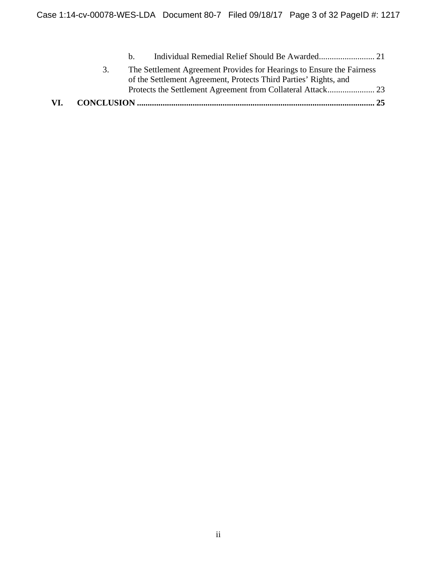| 3. |         | The Settlement Agreement Provides for Hearings to Ensure the Fairness<br>of the Settlement Agreement, Protects Third Parties' Rights, and |  |
|----|---------|-------------------------------------------------------------------------------------------------------------------------------------------|--|
|    | $h_{-}$ |                                                                                                                                           |  |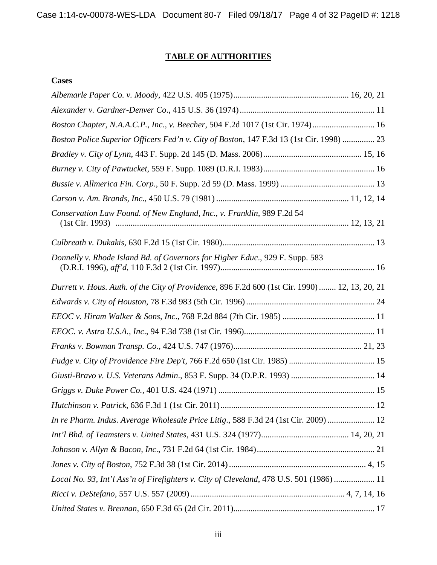## **TABLE OF AUTHORITIES**

## **Cases**

| Boston Chapter, N.A.A.C.P., Inc., v. Beecher, 504 F.2d 1017 (1st Cir. 1974) 16                 |
|------------------------------------------------------------------------------------------------|
| Boston Police Superior Officers Fed'n v. City of Boston, 147 F.3d 13 (1st Cir. 1998)  23       |
|                                                                                                |
|                                                                                                |
|                                                                                                |
|                                                                                                |
| Conservation Law Found. of New England, Inc., v. Franklin, 989 F.2d 54                         |
|                                                                                                |
| Donnelly v. Rhode Island Bd. of Governors for Higher Educ., 929 F. Supp. 583                   |
| Durrett v. Hous. Auth. of the City of Providence, 896 F.2d 600 (1st Cir. 1990)  12, 13, 20, 21 |
|                                                                                                |
|                                                                                                |
|                                                                                                |
|                                                                                                |
|                                                                                                |
|                                                                                                |
|                                                                                                |
|                                                                                                |
| In re Pharm. Indus. Average Wholesale Price Litig., 588 F.3d 24 (1st Cir. 2009)  12            |
|                                                                                                |
|                                                                                                |
|                                                                                                |
| Local No. 93, Int'l Ass'n of Firefighters v. City of Cleveland, 478 U.S. 501 (1986)  11        |
|                                                                                                |
|                                                                                                |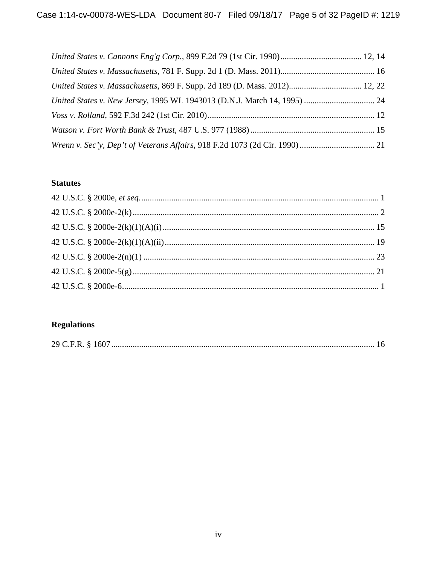## **Statutes**

# **Regulations**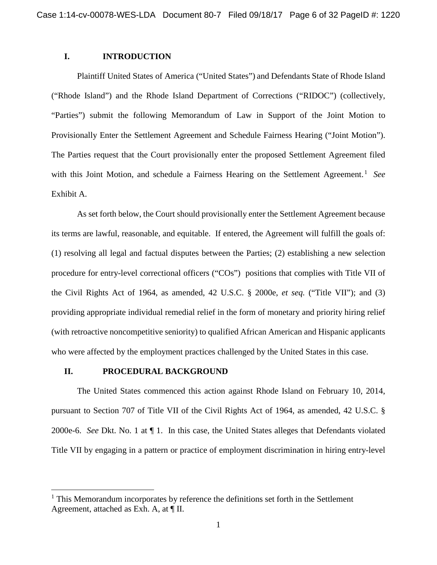## <span id="page-5-0"></span>**I. INTRODUCTION**

Plaintiff United States of America ("United States") and Defendants State of Rhode Island ("Rhode Island") and the Rhode Island Department of Corrections ("RIDOC") (collectively, "Parties") submit the following Memorandum of Law in Support of the Joint Motion to Provisionally Enter the Settlement Agreement and Schedule Fairness Hearing ("Joint Motion"). The Parties request that the Court provisionally enter the proposed Settlement Agreement filed with this Joint Motion, and schedule a Fairness Hearing on the Settlement Agreement.<sup>[1](#page-5-2)</sup> See Exhibit A.

As set forth below, the Court should provisionally enter the Settlement Agreement because its terms are lawful, reasonable, and equitable. If entered, the Agreement will fulfill the goals of: (1) resolving all legal and factual disputes between the Parties; (2) establishing a new selection procedure for entry-level correctional officers ("COs") positions that complies with Title VII of the Civil Rights Act of 1964, as amended, 42 U.S.C. § 2000e, *et seq.* ("Title VII"); and (3) providing appropriate individual remedial relief in the form of monetary and priority hiring relief (with retroactive noncompetitive seniority) to qualified African American and Hispanic applicants who were affected by the employment practices challenged by the United States in this case.

#### <span id="page-5-1"></span>**II. PROCEDURAL BACKGROUND**

The United States commenced this action against Rhode Island on February 10, 2014, pursuant to Section 707 of Title VII of the Civil Rights Act of 1964, as amended, 42 U.S.C. § 2000e-6. *See* Dkt. No. 1 at ¶ 1. In this case, the United States alleges that Defendants violated Title VII by engaging in a pattern or practice of employment discrimination in hiring entry-level

<span id="page-5-2"></span><sup>&</sup>lt;sup>1</sup> This Memorandum incorporates by reference the definitions set forth in the Settlement Agreement, attached as Exh. A, at ¶ II.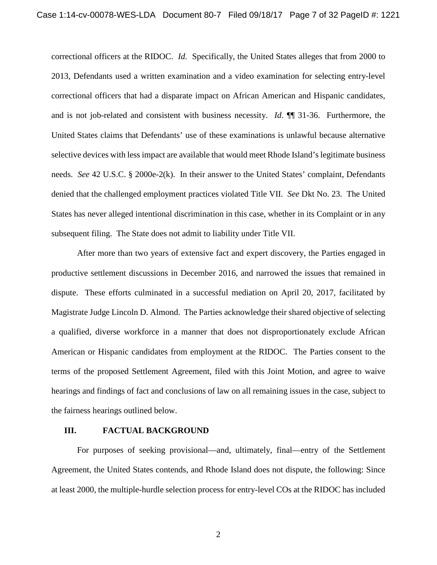correctional officers at the RIDOC. *Id.* Specifically, the United States alleges that from 2000 to 2013, Defendants used a written examination and a video examination for selecting entry-level correctional officers that had a disparate impact on African American and Hispanic candidates, and is not job-related and consistent with business necessity. *Id*. ¶¶ 31-36. Furthermore, the United States claims that Defendants' use of these examinations is unlawful because alternative selective devices with less impact are available that would meet Rhode Island's legitimate business needs. *See* 42 U.S.C. § 2000e-2(k). In their answer to the United States' complaint, Defendants denied that the challenged employment practices violated Title VII. *See* Dkt No. 23. The United States has never alleged intentional discrimination in this case, whether in its Complaint or in any subsequent filing. The State does not admit to liability under Title VII.

After more than two years of extensive fact and expert discovery, the Parties engaged in productive settlement discussions in December 2016, and narrowed the issues that remained in dispute. These efforts culminated in a successful mediation on April 20, 2017, facilitated by Magistrate Judge Lincoln D. Almond. The Parties acknowledge their shared objective of selecting a qualified, diverse workforce in a manner that does not disproportionately exclude African American or Hispanic candidates from employment at the RIDOC. The Parties consent to the terms of the proposed Settlement Agreement, filed with this Joint Motion, and agree to waive hearings and findings of fact and conclusions of law on all remaining issues in the case, subject to the fairness hearings outlined below.

#### <span id="page-6-0"></span>**III. FACTUAL BACKGROUND**

For purposes of seeking provisional—and, ultimately, final—entry of the Settlement Agreement, the United States contends, and Rhode Island does not dispute, the following: Since at least 2000, the multiple-hurdle selection process for entry-level COs at the RIDOC has included

2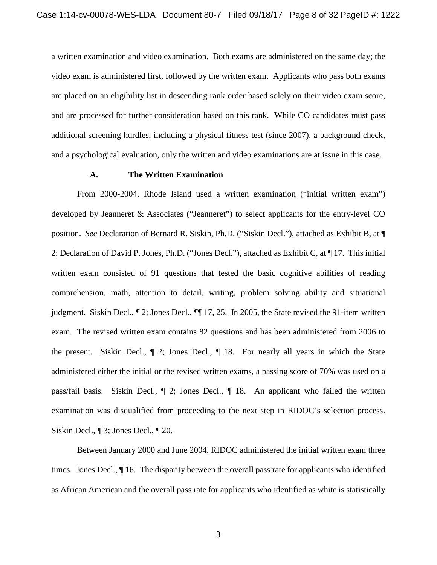a written examination and video examination. Both exams are administered on the same day; the video exam is administered first, followed by the written exam. Applicants who pass both exams are placed on an eligibility list in descending rank order based solely on their video exam score, and are processed for further consideration based on this rank. While CO candidates must pass additional screening hurdles, including a physical fitness test (since 2007), a background check, and a psychological evaluation, only the written and video examinations are at issue in this case.

#### <span id="page-7-0"></span>**A. The Written Examination**

From 2000-2004, Rhode Island used a written examination ("initial written exam") developed by Jeanneret & Associates ("Jeanneret") to select applicants for the entry-level CO position. *See* Declaration of Bernard R. Siskin, Ph.D. ("Siskin Decl."), attached as Exhibit B, at ¶ 2; Declaration of David P. Jones, Ph.D. ("Jones Decl."), attached as Exhibit C, at ¶ 17. This initial written exam consisted of 91 questions that tested the basic cognitive abilities of reading comprehension, math, attention to detail, writing, problem solving ability and situational judgment. Siskin Decl.,  $\mathbb{I}2$ ; Jones Decl.,  $\mathbb{I}$  17, 25. In 2005, the State revised the 91-item written exam. The revised written exam contains 82 questions and has been administered from 2006 to the present. Siskin Decl., ¶ 2; Jones Decl., ¶ 18. For nearly all years in which the State administered either the initial or the revised written exams, a passing score of 70% was used on a pass/fail basis. Siskin Decl., ¶ 2; Jones Decl., ¶ 18. An applicant who failed the written examination was disqualified from proceeding to the next step in RIDOC's selection process. Siskin Decl., ¶ 3; Jones Decl., ¶ 20.

Between January 2000 and June 2004, RIDOC administered the initial written exam three times. Jones Decl., ¶ 16. The disparity between the overall pass rate for applicants who identified as African American and the overall pass rate for applicants who identified as white is statistically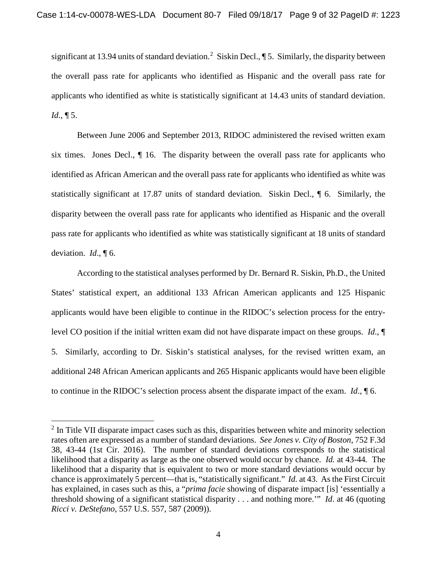significant at 13.94 units of standard deviation.<sup>[2](#page-8-0)</sup> Siskin Decl.,  $\P$ 5. Similarly, the disparity between the overall pass rate for applicants who identified as Hispanic and the overall pass rate for applicants who identified as white is statistically significant at 14.43 units of standard deviation. *Id*., ¶ 5.

Between June 2006 and September 2013, RIDOC administered the revised written exam six times. Jones Decl.,  $\P$  16. The disparity between the overall pass rate for applicants who identified as African American and the overall pass rate for applicants who identified as white was statistically significant at 17.87 units of standard deviation. Siskin Decl., ¶ 6. Similarly, the disparity between the overall pass rate for applicants who identified as Hispanic and the overall pass rate for applicants who identified as white was statistically significant at 18 units of standard deviation. *Id*., ¶ 6.

According to the statistical analyses performed by Dr. Bernard R. Siskin, Ph.D., the United States' statistical expert, an additional 133 African American applicants and 125 Hispanic applicants would have been eligible to continue in the RIDOC's selection process for the entrylevel CO position if the initial written exam did not have disparate impact on these groups. *Id*., ¶ 5. Similarly, according to Dr. Siskin's statistical analyses, for the revised written exam, an additional 248 African American applicants and 265 Hispanic applicants would have been eligible to continue in the RIDOC's selection process absent the disparate impact of the exam. *Id*., ¶ 6.

<span id="page-8-0"></span><sup>&</sup>lt;sup>2</sup> In Title VII disparate impact cases such as this, disparities between white and minority selection rates often are expressed as a number of standard deviations. *See Jones v. City of Boston,* 752 F.3d 38, 43-44 (1st Cir. 2016). The number of standard deviations corresponds to the statistical likelihood that a disparity as large as the one observed would occur by chance. *Id.* at 43-44*.* The likelihood that a disparity that is equivalent to two or more standard deviations would occur by chance is approximately 5 percent—that is, "statistically significant." *Id.* at 43. Asthe First Circuit has explained, in cases such as this, a "*prima facie* showing of disparate impact [is] 'essentially a threshold showing of a significant statistical disparity . . . and nothing more.'" *Id*. at 46 (quoting *Ricci v. DeStefano*, 557 U.S. 557, 587 (2009)).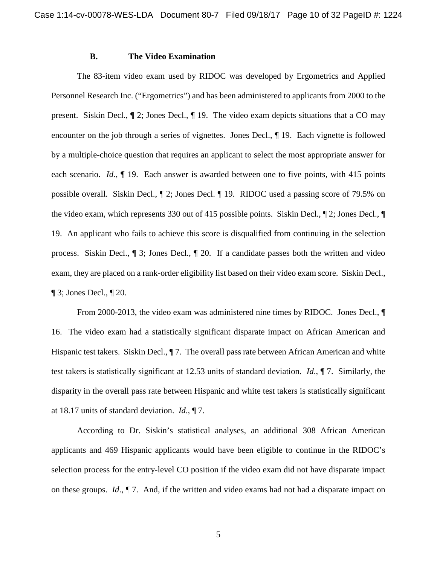#### <span id="page-9-0"></span>**B. The Video Examination**

The 83-item video exam used by RIDOC was developed by Ergometrics and Applied Personnel Research Inc. ("Ergometrics") and has been administered to applicants from 2000 to the present. Siskin Decl., ¶ 2; Jones Decl., ¶ 19. The video exam depicts situations that a CO may encounter on the job through a series of vignettes. Jones Decl., ¶ 19. Each vignette is followed by a multiple-choice question that requires an applicant to select the most appropriate answer for each scenario. *Id.*, 19. Each answer is awarded between one to five points, with 415 points possible overall. Siskin Decl., ¶ 2; Jones Decl. ¶ 19. RIDOC used a passing score of 79.5% on the video exam, which represents 330 out of 415 possible points. Siskin Decl., ¶ 2; Jones Decl., ¶ 19. An applicant who fails to achieve this score is disqualified from continuing in the selection process. Siskin Decl., ¶ 3; Jones Decl., ¶ 20. If a candidate passes both the written and video exam, they are placed on a rank-order eligibility list based on their video exam score. Siskin Decl., ¶ 3; Jones Decl., ¶ 20.

From 2000-2013, the video exam was administered nine times by RIDOC. Jones Decl., ¶ 16. The video exam had a statistically significant disparate impact on African American and Hispanic test takers. Siskin Decl., ¶ 7. The overall pass rate between African American and white test takers is statistically significant at 12.53 units of standard deviation. *Id*., ¶ 7. Similarly, the disparity in the overall pass rate between Hispanic and white test takers is statistically significant at 18.17 units of standard deviation. *Id*., ¶ 7.

According to Dr. Siskin's statistical analyses, an additional 308 African American applicants and 469 Hispanic applicants would have been eligible to continue in the RIDOC's selection process for the entry-level CO position if the video exam did not have disparate impact on these groups. *Id*., ¶ 7. And, if the written and video exams had not had a disparate impact on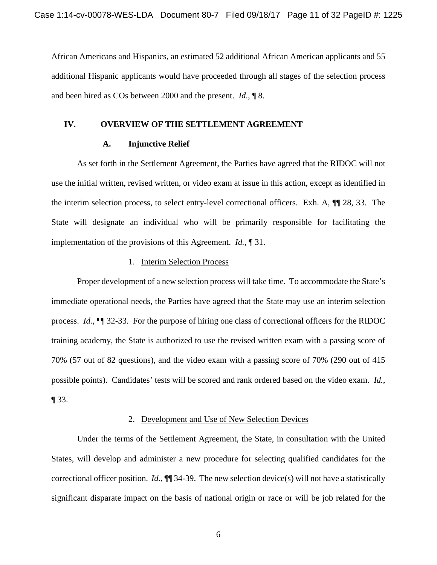African Americans and Hispanics, an estimated 52 additional African American applicants and 55 additional Hispanic applicants would have proceeded through all stages of the selection process and been hired as COs between 2000 and the present. *Id*., ¶ 8.

#### **IV. OVERVIEW OF THE SETTLEMENT AGREEMENT**

#### <span id="page-10-0"></span>**A. Injunctive Relief**

<span id="page-10-1"></span>As set forth in the Settlement Agreement, the Parties have agreed that the RIDOC will not use the initial written, revised written, or video exam at issue in this action, except as identified in the interim selection process, to select entry-level correctional officers. Exh. A, ¶¶ 28, 33. The State will designate an individual who will be primarily responsible for facilitating the implementation of the provisions of this Agreement. *Id.*, ¶ 31.

#### 1. Interim Selection Process

<span id="page-10-2"></span>Proper development of a new selection process will take time. To accommodate the State's immediate operational needs, the Parties have agreed that the State may use an interim selection process. *Id.*, ¶¶ 32-33. For the purpose of hiring one class of correctional officers for the RIDOC training academy, the State is authorized to use the revised written exam with a passing score of 70% (57 out of 82 questions), and the video exam with a passing score of 70% (290 out of 415 possible points). Candidates' tests will be scored and rank ordered based on the video exam. *Id.*, ¶ 33.

#### 2. Development and Use of New Selection Devices

<span id="page-10-3"></span>Under the terms of the Settlement Agreement, the State, in consultation with the United States, will develop and administer a new procedure for selecting qualified candidates for the correctional officer position. *Id.*, ¶¶ 34-39. The new selection device(s) will not have a statistically significant disparate impact on the basis of national origin or race or will be job related for the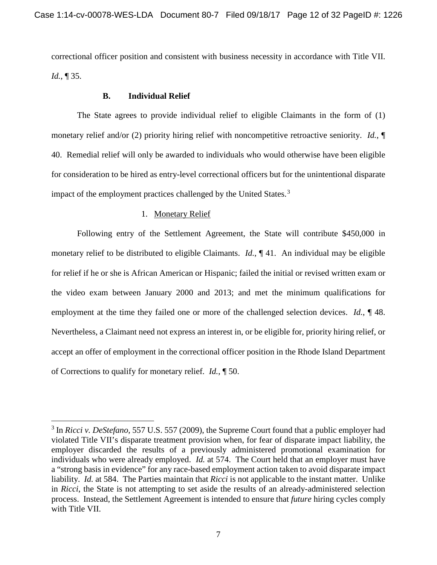correctional officer position and consistent with business necessity in accordance with Title VII. *Id.*, ¶ 35.

### **B. Individual Relief**

<span id="page-11-0"></span>The State agrees to provide individual relief to eligible Claimants in the form of (1) monetary relief and/or (2) priority hiring relief with noncompetitive retroactive seniority. *Id.*, 40. Remedial relief will only be awarded to individuals who would otherwise have been eligible for consideration to be hired as entry-level correctional officers but for the unintentional disparate impact of the employment practices challenged by the United States.<sup>[3](#page-11-2)</sup>

## 1. Monetary Relief

<span id="page-11-1"></span>Following entry of the Settlement Agreement, the State will contribute \$450,000 in monetary relief to be distributed to eligible Claimants. *Id.*, ¶ 41. An individual may be eligible for relief if he or she is African American or Hispanic; failed the initial or revised written exam or the video exam between January 2000 and 2013; and met the minimum qualifications for employment at the time they failed one or more of the challenged selection devices. *Id.*, ¶ 48. Nevertheless, a Claimant need not express an interest in, or be eligible for, priority hiring relief, or accept an offer of employment in the correctional officer position in the Rhode Island Department of Corrections to qualify for monetary relief. *Id.*, ¶ 50.

<span id="page-11-2"></span> <sup>3</sup> In *Ricci v. DeStefano,* <sup>557</sup> U.S. <sup>557</sup> (2009), the Supreme Court found that <sup>a</sup> public employer had violated Title VII's disparate treatment provision when, for fear of disparate impact liability, the employer discarded the results of a previously administered promotional examination for individuals who were already employed. *Id.* at 574. The Court held that an employer must have a "strong basis in evidence" for any race-based employment action taken to avoid disparate impact liability. *Id.* at 584. The Parties maintain that *Ricci* is not applicable to the instant matter. Unlike in *Ricci*, the State is not attempting to set aside the results of an already-administered selection process. Instead, the Settlement Agreement is intended to ensure that *future* hiring cycles comply with Title VII.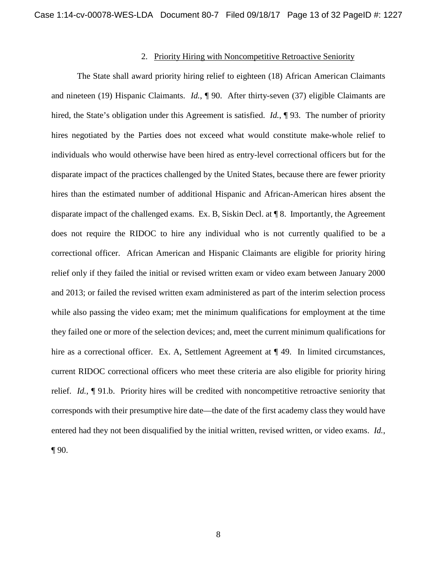#### 2. Priority Hiring with Noncompetitive Retroactive Seniority

<span id="page-12-0"></span>The State shall award priority hiring relief to eighteen (18) African American Claimants and nineteen (19) Hispanic Claimants. *Id.*, ¶ 90. After thirty-seven (37) eligible Claimants are hired, the State's obligation under this Agreement is satisfied. *Id.*, **[93.** The number of priority hires negotiated by the Parties does not exceed what would constitute make-whole relief to individuals who would otherwise have been hired as entry-level correctional officers but for the disparate impact of the practices challenged by the United States, because there are fewer priority hires than the estimated number of additional Hispanic and African-American hires absent the disparate impact of the challenged exams. Ex. B, Siskin Decl. at ¶ 8. Importantly, the Agreement does not require the RIDOC to hire any individual who is not currently qualified to be a correctional officer. African American and Hispanic Claimants are eligible for priority hiring relief only if they failed the initial or revised written exam or video exam between January 2000 and 2013; or failed the revised written exam administered as part of the interim selection process while also passing the video exam; met the minimum qualifications for employment at the time they failed one or more of the selection devices; and, meet the current minimum qualifications for hire as a correctional officer. Ex. A, Settlement Agreement at  $\P$  49. In limited circumstances, current RIDOC correctional officers who meet these criteria are also eligible for priority hiring relief. *Id.*, ¶ 91.b. Priority hires will be credited with noncompetitive retroactive seniority that corresponds with their presumptive hire date—the date of the first academy class they would have entered had they not been disqualified by the initial written, revised written, or video exams. *Id.*,  $\P$  90.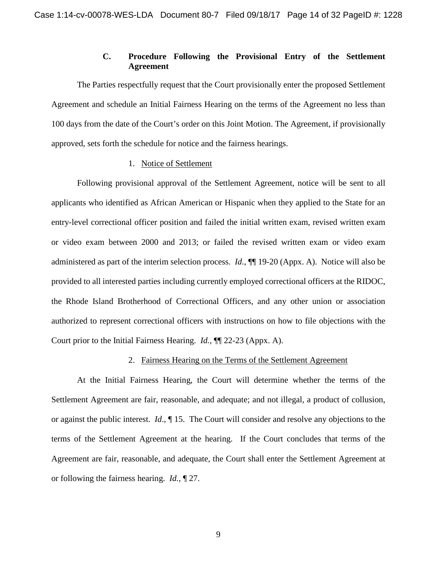## **C. Procedure Following the Provisional Entry of the Settlement Agreement**

<span id="page-13-0"></span>The Parties respectfully request that the Court provisionally enter the proposed Settlement Agreement and schedule an Initial Fairness Hearing on the terms of the Agreement no less than 100 days from the date of the Court's order on this Joint Motion. The Agreement, if provisionally approved, sets forth the schedule for notice and the fairness hearings.

#### 1. Notice of Settlement

<span id="page-13-1"></span>Following provisional approval of the Settlement Agreement, notice will be sent to all applicants who identified as African American or Hispanic when they applied to the State for an entry-level correctional officer position and failed the initial written exam, revised written exam or video exam between 2000 and 2013; or failed the revised written exam or video exam administered as part of the interim selection process. *Id.*, ¶¶ 19-20 (Appx. A). Notice will also be provided to all interested parties including currently employed correctional officers at the RIDOC, the Rhode Island Brotherhood of Correctional Officers, and any other union or association authorized to represent correctional officers with instructions on how to file objections with the Court prior to the Initial Fairness Hearing. *Id.*, ¶¶ 22-23 (Appx. A).

### 2. Fairness Hearing on the Terms of the Settlement Agreement

<span id="page-13-2"></span>At the Initial Fairness Hearing, the Court will determine whether the terms of the Settlement Agreement are fair, reasonable, and adequate; and not illegal, a product of collusion, or against the public interest. *Id*., ¶ 15. The Court will consider and resolve any objections to the terms of the Settlement Agreement at the hearing. If the Court concludes that terms of the Agreement are fair, reasonable, and adequate, the Court shall enter the Settlement Agreement at or following the fairness hearing. *Id.,* ¶ 27.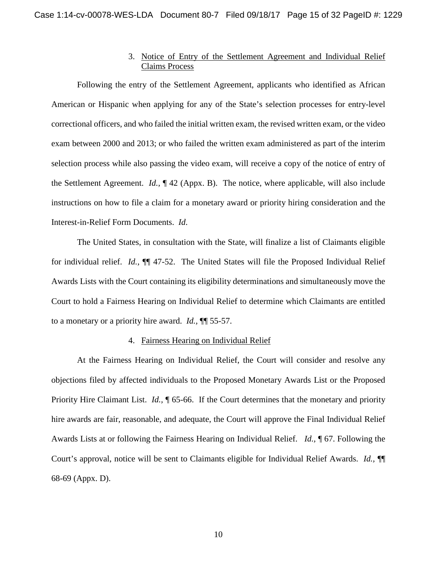## 3. Notice of Entry of the Settlement Agreement and Individual Relief Claims Process

<span id="page-14-0"></span>Following the entry of the Settlement Agreement, applicants who identified as African American or Hispanic when applying for any of the State's selection processes for entry-level correctional officers, and who failed the initial written exam, the revised written exam, or the video exam between 2000 and 2013; or who failed the written exam administered as part of the interim selection process while also passing the video exam, will receive a copy of the notice of entry of the Settlement Agreement. *Id.,* ¶ 42 (Appx. B). The notice, where applicable, will also include instructions on how to file a claim for a monetary award or priority hiring consideration and the Interest-in-Relief Form Documents. *Id*.

The United States, in consultation with the State, will finalize a list of Claimants eligible for individual relief. *Id.,* ¶¶ 47-52. The United States will file the Proposed Individual Relief Awards Lists with the Court containing its eligibility determinations and simultaneously move the Court to hold a Fairness Hearing on Individual Relief to determine which Claimants are entitled to a monetary or a priority hire award. *Id.,* ¶¶ 55-57.

#### 4. Fairness Hearing on Individual Relief

<span id="page-14-1"></span>At the Fairness Hearing on Individual Relief, the Court will consider and resolve any objections filed by affected individuals to the Proposed Monetary Awards List or the Proposed Priority Hire Claimant List. *Id.*, **[65-66.** If the Court determines that the monetary and priority hire awards are fair, reasonable, and adequate, the Court will approve the Final Individual Relief Awards Lists at or following the Fairness Hearing on Individual Relief. *Id.,* ¶ 67. Following the Court's approval, notice will be sent to Claimants eligible for Individual Relief Awards. *Id.,* ¶¶ 68-69 (Appx. D).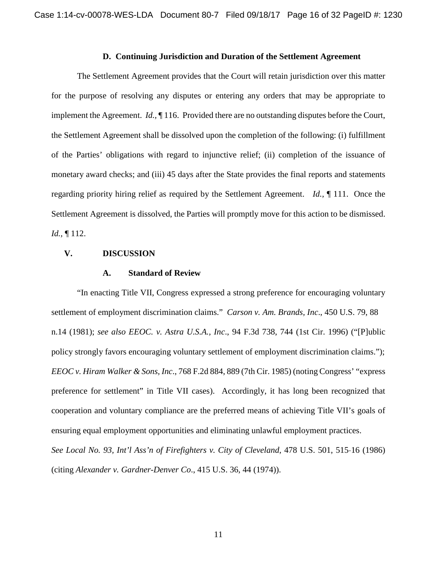#### **D. Continuing Jurisdiction and Duration of the Settlement Agreement**

<span id="page-15-0"></span>The Settlement Agreement provides that the Court will retain jurisdiction over this matter for the purpose of resolving any disputes or entering any orders that may be appropriate to implement the Agreement. *Id.,* ¶ 116. Provided there are no outstanding disputes before the Court, the Settlement Agreement shall be dissolved upon the completion of the following: (i) fulfillment of the Parties' obligations with regard to injunctive relief; (ii) completion of the issuance of monetary award checks; and (iii) 45 days after the State provides the final reports and statements regarding priority hiring relief as required by the Settlement Agreement. *Id.,* ¶ 111. Once the Settlement Agreement is dissolved, the Parties will promptly move for this action to be dismissed. *Id.,* ¶ 112.

**V. DISCUSSION**

#### <span id="page-15-1"></span>**A. Standard of Review**

<span id="page-15-2"></span>"In enacting Title VII, Congress expressed a strong preference for encouraging voluntary settlement of employment discrimination claims." *Carson v. Am. Brands, Inc*., 450 U.S. 79, 88 n.14 (1981); *see also EEOC. v. Astra U.S.A., Inc*., 94 F.3d 738, 744 (1st Cir. 1996) ("[P]ublic policy strongly favors encouraging voluntary settlement of employment discrimination claims."); *EEOC v. Hiram Walker & Sons, Inc*., 768 F.2d 884, 889 (7th Cir. 1985) (noting Congress' "express preference for settlement" in Title VII cases). Accordingly, it has long been recognized that cooperation and voluntary compliance are the preferred means of achieving Title VII's goals of ensuring equal employment opportunities and eliminating unlawful employment practices.

*See Local No. 93, Int'l Ass'n of Firefighters v. City of Cleveland*, 478 U.S. 501, 515-16 (1986) (citing *Alexander v. Gardner-Denver Co*., 415 U.S. 36, 44 (1974)).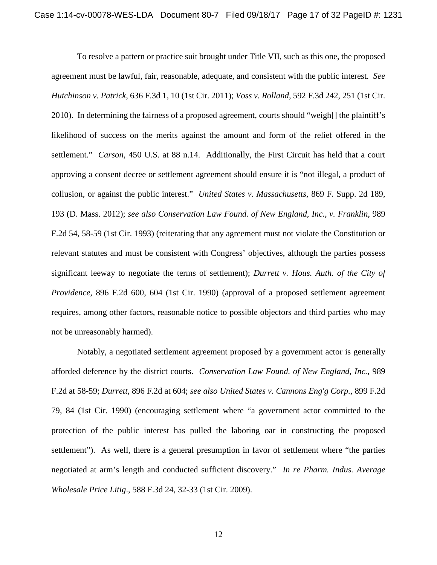To resolve a pattern or practice suit brought under Title VII, such as this one, the proposed agreement must be lawful, fair, reasonable, adequate, and consistent with the public interest. *See Hutchinson v. Patrick*, 636 F.3d 1, 10 (1st Cir. 2011); *Voss v. Rolland*, 592 F.3d 242, 251 (1st Cir. 2010). In determining the fairness of a proposed agreement, courts should "weigh[] the plaintiff's likelihood of success on the merits against the amount and form of the relief offered in the settlement." *Carson*, 450 U.S. at 88 n.14. Additionally, the First Circuit has held that a court approving a consent decree or settlement agreement should ensure it is "not illegal, a product of collusion, or against the public interest." *United States v. Massachusetts*, 869 F. Supp. 2d 189, 193 (D. Mass. 2012); *see also Conservation Law Found. of New England, Inc., v. Franklin,* 989 F.2d 54, 58-59 (1st Cir. 1993) (reiterating that any agreement must not violate the Constitution or relevant statutes and must be consistent with Congress' objectives, although the parties possess significant leeway to negotiate the terms of settlement); *Durrett v. Hous. Auth. of the City of Providence*, 896 F.2d 600, 604 (1st Cir. 1990) (approval of a proposed settlement agreement requires, among other factors, reasonable notice to possible objectors and third parties who may not be unreasonably harmed).

Notably, a negotiated settlement agreement proposed by a government actor is generally afforded deference by the district courts. *Conservation Law Found. of New England, Inc.,* 989 F.2d at 58-59; *Durrett,* 896 F.2d at 604; *see also United States v. Cannons Eng'g Corp.,* 899 F.2d 79, 84 (1st Cir. 1990) (encouraging settlement where "a government actor committed to the protection of the public interest has pulled the laboring oar in constructing the proposed settlement"). As well, there is a general presumption in favor of settlement where "the parties negotiated at arm's length and conducted sufficient discovery." *In re Pharm. Indus. Average Wholesale Price Litig*., 588 F.3d 24, 32-33 (1st Cir. 2009).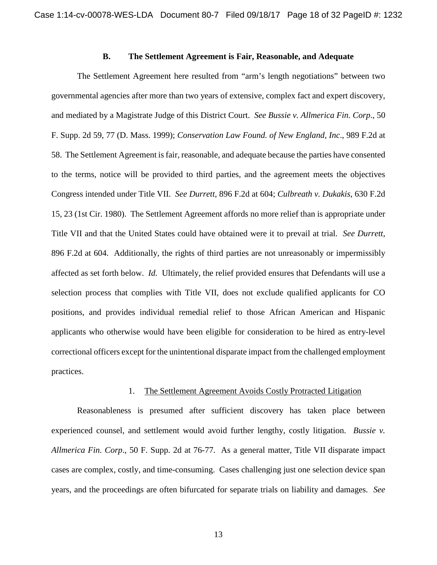## **B. The Settlement Agreement is Fair, Reasonable, and Adequate**

<span id="page-17-0"></span>The Settlement Agreement here resulted from "arm's length negotiations" between two governmental agencies after more than two years of extensive, complex fact and expert discovery, and mediated by a Magistrate Judge of this District Court. *See Bussie v. Allmerica Fin. Corp*., 50 F. Supp. 2d 59, 77 (D. Mass. 1999); *Conservation Law Found. of New England, Inc*., 989 F.2d at 58. The Settlement Agreement isfair, reasonable, and adequate because the parties have consented to the terms, notice will be provided to third parties, and the agreement meets the objectives Congress intended under Title VII. *See Durrett*, 896 F.2d at 604; *Culbreath v. Dukakis*, 630 F.2d 15, 23 (1st Cir. 1980).The Settlement Agreement affords no more relief than is appropriate under Title VII and that the United States could have obtained were it to prevail at trial. *See Durrett*, 896 F.2d at 604. Additionally, the rights of third parties are not unreasonably or impermissibly affected as set forth below. *Id.* Ultimately, the relief provided ensures that Defendants will use a selection process that complies with Title VII, does not exclude qualified applicants for CO positions, and provides individual remedial relief to those African American and Hispanic applicants who otherwise would have been eligible for consideration to be hired as entry-level correctional officers except for the unintentional disparate impact from the challenged employment practices.

#### 1. The Settlement Agreement Avoids Costly Protracted Litigation

<span id="page-17-1"></span>Reasonableness is presumed after sufficient discovery has taken place between experienced counsel, and settlement would avoid further lengthy, costly litigation. *Bussie v. Allmerica Fin. Corp*., 50 F. Supp. 2d at 76-77. As a general matter, Title VII disparate impact cases are complex, costly, and time-consuming. Cases challenging just one selection device span years, and the proceedings are often bifurcated for separate trials on liability and damages. *See*

13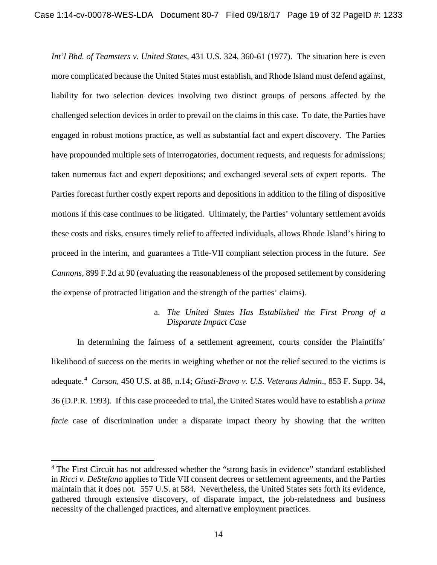*Int'l Bhd. of Teamsters v. United States*, 431 U.S. 324, 360-61 (1977). The situation here is even more complicated because the United States must establish, and Rhode Island must defend against, liability for two selection devices involving two distinct groups of persons affected by the challenged selection devices in order to prevail on the claims in this case. To date, the Parties have engaged in robust motions practice, as well as substantial fact and expert discovery. The Parties have propounded multiple sets of interrogatories, document requests, and requests for admissions; taken numerous fact and expert depositions; and exchanged several sets of expert reports. The Parties forecast further costly expert reports and depositions in addition to the filing of dispositive motions if this case continues to be litigated. Ultimately, the Parties' voluntary settlement avoids these costs and risks, ensures timely relief to affected individuals, allows Rhode Island's hiring to proceed in the interim, and guarantees a Title-VII compliant selection process in the future. *See Cannons*, 899 F.2d at 90 (evaluating the reasonableness of the proposed settlement by considering the expense of protracted litigation and the strength of the parties' claims).

## a. *The United States Has Established the First Prong of a Disparate Impact Case*

<span id="page-18-0"></span>In determining the fairness of a settlement agreement, courts consider the Plaintiffs' likelihood of success on the merits in weighing whether or not the relief secured to the victims is adequate.[4](#page-18-1) *Carson,* 450 U.S. at 88, n.14; *Giusti-Bravo v. U.S. Veterans Admin*., 853 F. Supp. 34, 36 (D.P.R. 1993). If this case proceeded to trial, the United States would have to establish a *prima facie* case of discrimination under a disparate impact theory by showing that the written

<span id="page-18-1"></span><sup>&</sup>lt;sup>4</sup> The First Circuit has not addressed whether the "strong basis in evidence" standard established in *Ricci v. DeStefano* applies to Title VII consent decrees or settlement agreements, and the Parties maintain that it does not. 557 U.S. at 584. Nevertheless, the United States sets forth its evidence, gathered through extensive discovery, of disparate impact, the job-relatedness and business necessity of the challenged practices, and alternative employment practices.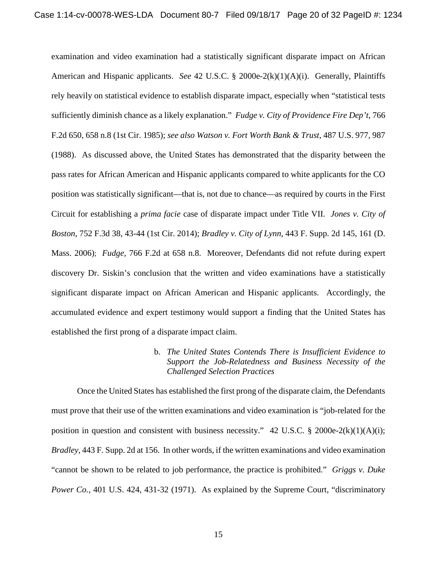examination and video examination had a statistically significant disparate impact on African American and Hispanic applicants. *See* 42 U.S.C. § 2000e-2(k)(1)(A)(i). Generally, Plaintiffs rely heavily on statistical evidence to establish disparate impact, especially when "statistical tests sufficiently diminish chance as a likely explanation." *Fudge v. City of Providence Fire Dep't*, 766 F.2d 650, 658 n.8 (1st Cir. 1985); *see also Watson v. Fort Worth Bank & Trust*, 487 U.S. 977, 987 (1988). As discussed above, the United States has demonstrated that the disparity between the pass rates for African American and Hispanic applicants compared to white applicants for the CO position was statistically significant—that is, not due to chance—as required by courts in the First Circuit for establishing a *prima facie* case of disparate impact under Title VII. *Jones v. City of Boston*, 752 F.3d 38, 43-44 (1st Cir. 2014); *Bradley v. City of Lynn*, 443 F. Supp. 2d 145, 161 (D. Mass. 2006); *Fudge*, 766 F.2d at 658 n.8. Moreover, Defendants did not refute during expert discovery Dr. Siskin's conclusion that the written and video examinations have a statistically significant disparate impact on African American and Hispanic applicants. Accordingly, the accumulated evidence and expert testimony would support a finding that the United States has established the first prong of a disparate impact claim.

> b. *The United States Contends There is Insufficient Evidence to Support the Job-Relatedness and Business Necessity of the Challenged Selection Practices*

<span id="page-19-0"></span>Once the United States has established the first prong of the disparate claim, the Defendants must prove that their use of the written examinations and video examination is "job-related for the position in question and consistent with business necessity." 42 U.S.C. § 2000e-2(k)(1)(A)(i); *Bradley*, 443 F. Supp. 2d at 156. In other words, if the written examinations and video examination "cannot be shown to be related to job performance, the practice is prohibited." *Griggs v. Duke Power Co.,* 401 U.S. 424, 431-32 (1971). As explained by the Supreme Court, "discriminatory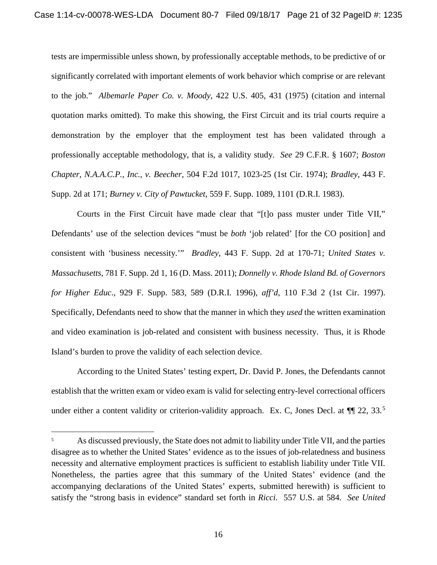tests are impermissible unless shown, by professionally acceptable methods, to be predictive of or significantly correlated with important elements of work behavior which comprise or are relevant to the job." *Albemarle Paper Co. v. Moody*, 422 U.S. 405, 431 (1975) (citation and internal quotation marks omitted). To make this showing, the First Circuit and its trial courts require a demonstration by the employer that the employment test has been validated through a professionally acceptable methodology, that is, a validity study. *See* 29 C.F.R. § 1607; *Boston Chapter, N.A.A.C.P., Inc., v. Beecher*, 504 F.2d 1017, 1023-25 (1st Cir. 1974); *Bradley*, 443 F. Supp. 2d at 171; *Burney v. City of Pawtucket*, 559 F. Supp. 1089, 1101 (D.R.I. 1983).

Courts in the First Circuit have made clear that "[t]o pass muster under Title VII," Defendants' use of the selection devices "must be *both* 'job related' [for the CO position] and consistent with 'business necessity.'" *Bradley*, 443 F. Supp. 2d at 170-71; *United States v. Massachusetts*, 781 F. Supp. 2d 1, 16 (D. Mass. 2011); *Donnelly v. Rhode Island Bd. of Governors for Higher Educ*., 929 F. Supp. 583, 589 (D.R.I. 1996), *aff'd*, 110 F.3d 2 (1st Cir. 1997). Specifically, Defendants need to show that the manner in which they *used* the written examination and video examination is job-related and consistent with business necessity. Thus, it is Rhode Island's burden to prove the validity of each selection device.

According to the United States' testing expert, Dr. David P. Jones, the Defendants cannot establish that the written exam or video exam is valid for selecting entry-level correctional officers under either a content validity or criterion-validity approach. Ex. C, Jones Decl. at  $\P\P$  22, 33.<sup>[5](#page-20-0)</sup>

<span id="page-20-0"></span><sup>&</sup>lt;sup>5</sup> As discussed previously, the State does not admit to liability under Title VII, and the parties disagree as to whether the United States' evidence as to the issues of job-relatedness and business necessity and alternative employment practices is sufficient to establish liability under Title VII. Nonetheless, the parties agree that this summary of the United States' evidence (and the accompanying declarations of the United States' experts, submitted herewith) is sufficient to satisfy the "strong basis in evidence" standard set forth in *Ricci.* 557 U.S. at 584. *See United*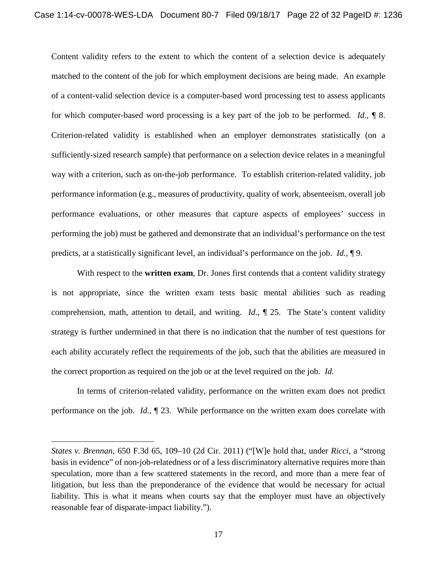Content validity refers to the extent to which the content of a selection device is adequately matched to the content of the job for which employment decisions are being made. An example of a content-valid selection device is a computer-based word processing test to assess applicants for which computer-based word processing is a key part of the job to be performed. *Id.,* ¶ 8. Criterion-related validity is established when an employer demonstrates statistically (on a sufficiently-sized research sample) that performance on a selection device relates in a meaningful way with a criterion, such as on-the-job performance. To establish criterion-related validity, job performance information (e.g., measures of productivity, quality of work, absenteeism, overall job performance evaluations, or other measures that capture aspects of employees' success in performing the job) must be gathered and demonstrate that an individual's performance on the test predicts, at a statistically significant level, an individual's performance on the job. *Id.,* ¶ 9.

With respect to the **written exam**, Dr. Jones first contends that a content validity strategy is not appropriate, since the written exam tests basic mental abilities such as reading comprehension, math, attention to detail, and writing. *Id*., ¶ 25. The State's content validity strategy is further undermined in that there is no indication that the number of test questions for each ability accurately reflect the requirements of the job, such that the abilities are measured in the correct proportion as required on the job or at the level required on the job. *Id.*

In terms of criterion-related validity, performance on the written exam does not predict performance on the job. *Id.,* ¶ 23. While performance on the written exam does correlate with

 $\overline{a}$ 

*States v. Brennan*, 650 F.3d 65, 109–10 (2d Cir. 2011) ("[W]e hold that, under *Ricci*, a "strong basis in evidence" of non-job-relatedness or of a less discriminatory alternative requires more than speculation, more than a few scattered statements in the record, and more than a mere fear of litigation, but less than the preponderance of the evidence that would be necessary for actual liability. This is what it means when courts say that the employer must have an objectively reasonable fear of disparate-impact liability.").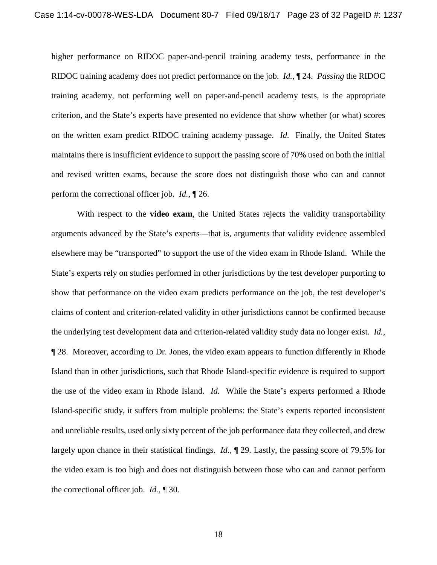higher performance on RIDOC paper-and-pencil training academy tests, performance in the RIDOC training academy does not predict performance on the job. *Id.*, ¶ 24. *Passing* the RIDOC training academy, not performing well on paper-and-pencil academy tests, is the appropriate criterion, and the State's experts have presented no evidence that show whether (or what) scores on the written exam predict RIDOC training academy passage. *Id.* Finally, the United States maintains there is insufficient evidence to support the passing score of 70% used on both the initial and revised written exams, because the score does not distinguish those who can and cannot perform the correctional officer job. *Id.,* ¶ 26.

With respect to the **video exam**, the United States rejects the validity transportability arguments advanced by the State's experts—that is, arguments that validity evidence assembled elsewhere may be "transported" to support the use of the video exam in Rhode Island. While the State's experts rely on studies performed in other jurisdictions by the test developer purporting to show that performance on the video exam predicts performance on the job, the test developer's claims of content and criterion-related validity in other jurisdictions cannot be confirmed because the underlying test development data and criterion-related validity study data no longer exist. *Id.,* ¶ 28. Moreover, according to Dr. Jones, the video exam appears to function differently in Rhode Island than in other jurisdictions, such that Rhode Island-specific evidence is required to support the use of the video exam in Rhode Island. *Id.* While the State's experts performed a Rhode Island-specific study, it suffers from multiple problems: the State's experts reported inconsistent and unreliable results, used only sixty percent of the job performance data they collected, and drew largely upon chance in their statistical findings. *Id.,* ¶ 29. Lastly, the passing score of 79.5% for the video exam is too high and does not distinguish between those who can and cannot perform the correctional officer job. *Id.,* ¶ 30.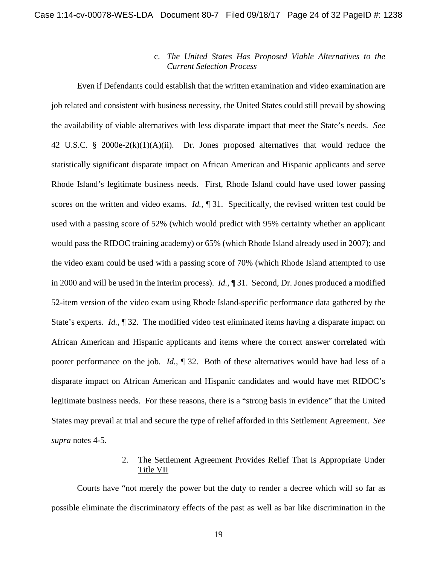## c. *The United States Has Proposed Viable Alternatives to the Current Selection Process*

<span id="page-23-0"></span>Even if Defendants could establish that the written examination and video examination are job related and consistent with business necessity, the United States could still prevail by showing the availability of viable alternatives with less disparate impact that meet the State's needs. *See* 42 U.S.C. § 2000e-2(k)(1)(A)(ii). Dr. Jones proposed alternatives that would reduce the statistically significant disparate impact on African American and Hispanic applicants and serve Rhode Island's legitimate business needs. First, Rhode Island could have used lower passing scores on the written and video exams. *Id.,* ¶ 31. Specifically, the revised written test could be used with a passing score of 52% (which would predict with 95% certainty whether an applicant would pass the RIDOC training academy) or 65% (which Rhode Island already used in 2007); and the video exam could be used with a passing score of 70% (which Rhode Island attempted to use in 2000 and will be used in the interim process). *Id.,* ¶ 31. Second, Dr. Jones produced a modified 52-item version of the video exam using Rhode Island-specific performance data gathered by the State's experts. *Id.,* ¶ 32. The modified video test eliminated items having a disparate impact on African American and Hispanic applicants and items where the correct answer correlated with poorer performance on the job. *Id.,* ¶ 32. Both of these alternatives would have had less of a disparate impact on African American and Hispanic candidates and would have met RIDOC's legitimate business needs. For these reasons, there is a "strong basis in evidence" that the United States may prevail at trial and secure the type of relief afforded in this Settlement Agreement. *See supra* notes 4-5.

## 2. The Settlement Agreement Provides Relief That Is Appropriate Under Title VII

<span id="page-23-1"></span>Courts have "not merely the power but the duty to render a decree which will so far as possible eliminate the discriminatory effects of the past as well as bar like discrimination in the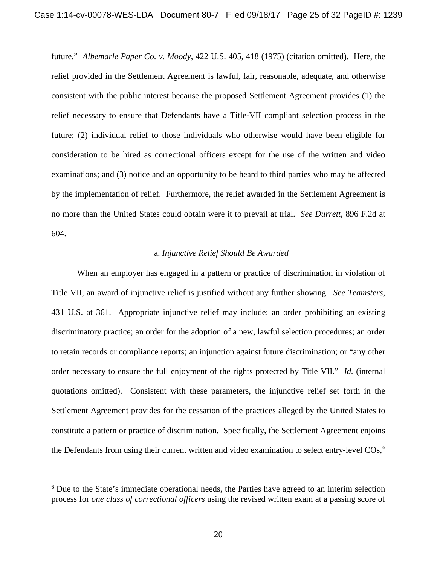future." *Albemarle Paper Co. v. Moody*, 422 U.S. 405, 418 (1975) (citation omitted). Here, the relief provided in the Settlement Agreement is lawful, fair, reasonable, adequate, and otherwise consistent with the public interest because the proposed Settlement Agreement provides (1) the relief necessary to ensure that Defendants have a Title-VII compliant selection process in the future; (2) individual relief to those individuals who otherwise would have been eligible for consideration to be hired as correctional officers except for the use of the written and video examinations; and (3) notice and an opportunity to be heard to third parties who may be affected by the implementation of relief. Furthermore, the relief awarded in the Settlement Agreement is no more than the United States could obtain were it to prevail at trial. *See Durrett*, 896 F.2d at 604.

#### <span id="page-24-0"></span>a. *Injunctive Relief Should Be Awarded*

When an employer has engaged in a pattern or practice of discrimination in violation of Title VII, an award of injunctive relief is justified without any further showing. *See Teamsters,* 431 U.S. at 361. Appropriate injunctive relief may include: an order prohibiting an existing discriminatory practice; an order for the adoption of a new, lawful selection procedures; an order to retain records or compliance reports; an injunction against future discrimination; or "any other order necessary to ensure the full enjoyment of the rights protected by Title VII." *Id.* (internal quotations omitted). Consistent with these parameters, the injunctive relief set forth in the Settlement Agreement provides for the cessation of the practices alleged by the United States to constitute a pattern or practice of discrimination. Specifically, the Settlement Agreement enjoins the Defendants from using their current written and video examination to select entry-level COs,<sup>[6](#page-24-1)</sup>

<span id="page-24-1"></span> <sup>6</sup> Due to the State's immediate operational needs, the Parties have agreed to an interim selection process for *one class of correctional officers* using the revised written exam at a passing score of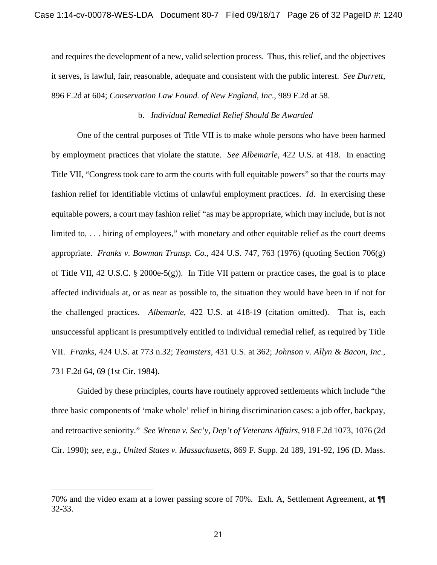and requires the development of a new, valid selection process. Thus, this relief, and the objectives it serves, is lawful, fair, reasonable, adequate and consistent with the public interest. *See Durrett*, 896 F.2d at 604; *Conservation Law Found. of New England, Inc*., 989 F.2d at 58.

#### b. *Individual Remedial Relief Should Be Awarded*

<span id="page-25-0"></span>One of the central purposes of Title VII is to make whole persons who have been harmed by employment practices that violate the statute. *See Albemarle*, 422 U.S. at 418. In enacting Title VII, "Congress took care to arm the courts with full equitable powers" so that the courts may fashion relief for identifiable victims of unlawful employment practices. *Id*. In exercising these equitable powers, a court may fashion relief "as may be appropriate, which may include, but is not limited to, ... hiring of employees," with monetary and other equitable relief as the court deems appropriate. *Franks v. Bowman Transp. Co.*, 424 U.S. 747, 763 (1976) (quoting Section 706(g) of Title VII, 42 U.S.C. § 2000e-5(g)). In Title VII pattern or practice cases, the goal is to place affected individuals at, or as near as possible to, the situation they would have been in if not for the challenged practices. *Albemarle*, 422 U.S. at 418-19 (citation omitted). That is, each unsuccessful applicant is presumptively entitled to individual remedial relief, as required by Title VII. *Franks*, 424 U.S. at 773 n.32; *Teamsters*, 431 U.S. at 362; *Johnson v. Allyn & Bacon, Inc*., 731 F.2d 64, 69 (1st Cir. 1984).

Guided by these principles, courts have routinely approved settlements which include "the three basic components of 'make whole' relief in hiring discrimination cases: a job offer, backpay, and retroactive seniority." *See Wrenn v. Sec'y, Dep't of Veterans Affairs*, 918 F.2d 1073, 1076 (2d Cir. 1990); *see, e.g.*, *United States v. Massachusetts*, 869 F. Supp. 2d 189, 191-92, 196 (D. Mass.

 $\overline{a}$ 

<sup>70%</sup> and the video exam at a lower passing score of 70%. Exh. A, Settlement Agreement, at ¶¶ 32-33.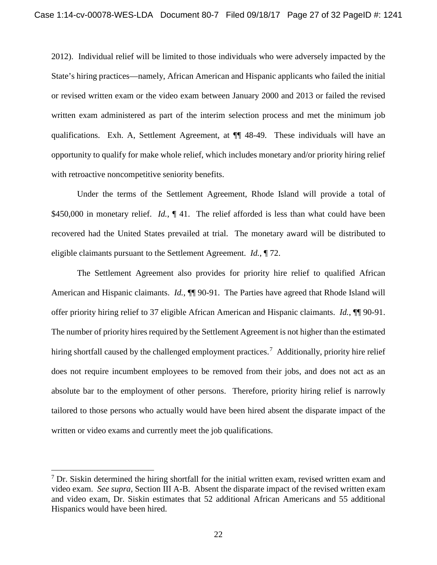2012). Individual relief will be limited to those individuals who were adversely impacted by the State's hiring practices—namely, African American and Hispanic applicants who failed the initial or revised written exam or the video exam between January 2000 and 2013 or failed the revised written exam administered as part of the interim selection process and met the minimum job qualifications. Exh. A, Settlement Agreement, at ¶¶ 48-49. These individuals will have an opportunity to qualify for make whole relief, which includes monetary and/or priority hiring relief with retroactive noncompetitive seniority benefits.

Under the terms of the Settlement Agreement, Rhode Island will provide a total of \$450,000 in monetary relief. *Id.*, 141. The relief afforded is less than what could have been recovered had the United States prevailed at trial. The monetary award will be distributed to eligible claimants pursuant to the Settlement Agreement. *Id.*, ¶ 72.

The Settlement Agreement also provides for priority hire relief to qualified African American and Hispanic claimants. *Id.*,  $\mathbb{I}$  90-91. The Parties have agreed that Rhode Island will offer priority hiring relief to 37 eligible African American and Hispanic claimants. *Id.*, ¶¶ 90-91. The number of priority hires required by the Settlement Agreement is not higher than the estimated hiring shortfall caused by the challenged employment practices.<sup>[7](#page-26-0)</sup> Additionally, priority hire relief does not require incumbent employees to be removed from their jobs, and does not act as an absolute bar to the employment of other persons. Therefore, priority hiring relief is narrowly tailored to those persons who actually would have been hired absent the disparate impact of the written or video exams and currently meet the job qualifications.

<span id="page-26-0"></span> $<sup>7</sup>$  Dr. Siskin determined the hiring shortfall for the initial written exam, revised written exam and</sup> video exam. *See supra,* Section III A-B. Absent the disparate impact of the revised written exam and video exam, Dr. Siskin estimates that 52 additional African Americans and 55 additional Hispanics would have been hired.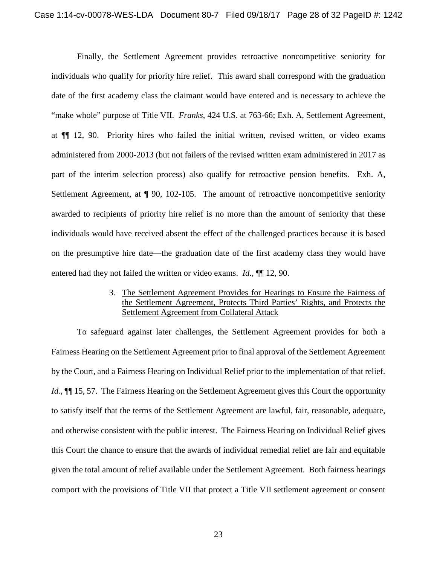Finally, the Settlement Agreement provides retroactive noncompetitive seniority for individuals who qualify for priority hire relief. This award shall correspond with the graduation date of the first academy class the claimant would have entered and is necessary to achieve the "make whole" purpose of Title VII. *Franks*, 424 U.S. at 763-66; Exh. A, Settlement Agreement, at ¶¶ 12, 90. Priority hires who failed the initial written, revised written, or video exams administered from 2000-2013 (but not failers of the revised written exam administered in 2017 as part of the interim selection process) also qualify for retroactive pension benefits. Exh. A, Settlement Agreement, at  $\P$  90, 102-105. The amount of retroactive noncompetitive seniority awarded to recipients of priority hire relief is no more than the amount of seniority that these individuals would have received absent the effect of the challenged practices because it is based on the presumptive hire date—the graduation date of the first academy class they would have entered had they not failed the written or video exams. *Id.*, **¶** 12, 90.

## 3. The Settlement Agreement Provides for Hearings to Ensure the Fairness of the Settlement Agreement, Protects Third Parties' Rights, and Protects the Settlement Agreement from Collateral Attack

<span id="page-27-0"></span>To safeguard against later challenges, the Settlement Agreement provides for both a Fairness Hearing on the Settlement Agreement prior to final approval of the Settlement Agreement by the Court, and a Fairness Hearing on Individual Relief prior to the implementation of that relief. *Id.*,  $\P$  15, 57. The Fairness Hearing on the Settlement Agreement gives this Court the opportunity to satisfy itself that the terms of the Settlement Agreement are lawful, fair, reasonable, adequate, and otherwise consistent with the public interest. The Fairness Hearing on Individual Relief gives this Court the chance to ensure that the awards of individual remedial relief are fair and equitable given the total amount of relief available under the Settlement Agreement. Both fairness hearings comport with the provisions of Title VII that protect a Title VII settlement agreement or consent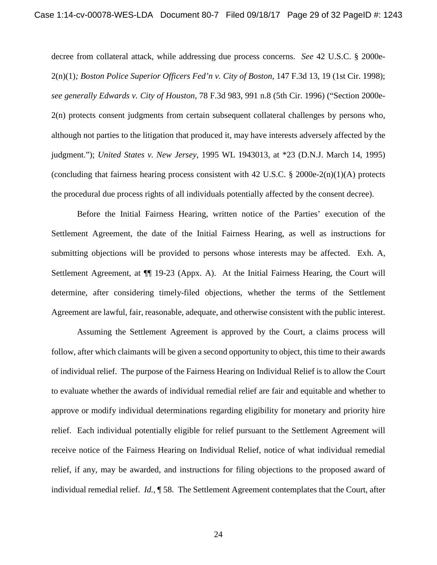decree from collateral attack, while addressing due process concerns. *See* 42 U.S.C. § 2000e-2(n)(1)*; Boston Police Superior Officers Fed'n v. City of Boston*, 147 F.3d 13, 19 (1st Cir. 1998); *see generally Edwards v. City of Houston*, 78 F.3d 983, 991 n.8 (5th Cir. 1996) ("Section 2000e-2(n) protects consent judgments from certain subsequent collateral challenges by persons who, although not parties to the litigation that produced it, may have interests adversely affected by the judgment."); *United States v. New Jersey*, 1995 WL 1943013, at \*23 (D.N.J. March 14, 1995) (concluding that fairness hearing process consistent with 42 U.S.C.  $\S$  2000e-2(n)(1)(A) protects the procedural due process rights of all individuals potentially affected by the consent decree).

Before the Initial Fairness Hearing, written notice of the Parties' execution of the Settlement Agreement, the date of the Initial Fairness Hearing, as well as instructions for submitting objections will be provided to persons whose interests may be affected. Exh. A, Settlement Agreement, at  $\P$  19-23 (Appx. A). At the Initial Fairness Hearing, the Court will determine, after considering timely-filed objections, whether the terms of the Settlement Agreement are lawful, fair, reasonable, adequate, and otherwise consistent with the public interest.

Assuming the Settlement Agreement is approved by the Court, a claims process will follow, after which claimants will be given a second opportunity to object, this time to their awards of individual relief. The purpose of the Fairness Hearing on Individual Relief is to allow the Court to evaluate whether the awards of individual remedial relief are fair and equitable and whether to approve or modify individual determinations regarding eligibility for monetary and priority hire relief. Each individual potentially eligible for relief pursuant to the Settlement Agreement will receive notice of the Fairness Hearing on Individual Relief, notice of what individual remedial relief, if any, may be awarded, and instructions for filing objections to the proposed award of individual remedial relief. *Id.*, ¶ 58. The Settlement Agreement contemplates that the Court, after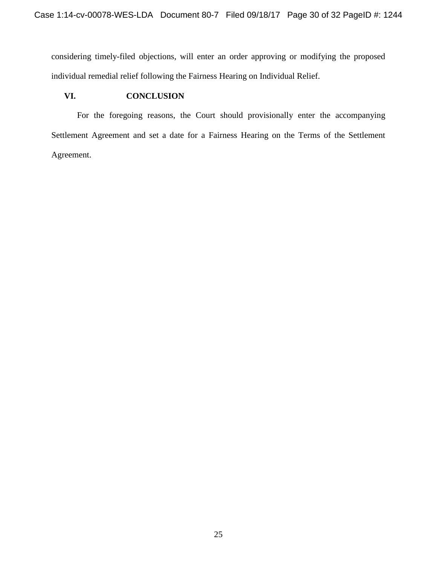considering timely-filed objections, will enter an order approving or modifying the proposed individual remedial relief following the Fairness Hearing on Individual Relief.

## <span id="page-29-0"></span>**VI. CONCLUSION**

For the foregoing reasons, the Court should provisionally enter the accompanying Settlement Agreement and set a date for a Fairness Hearing on the Terms of the Settlement Agreement.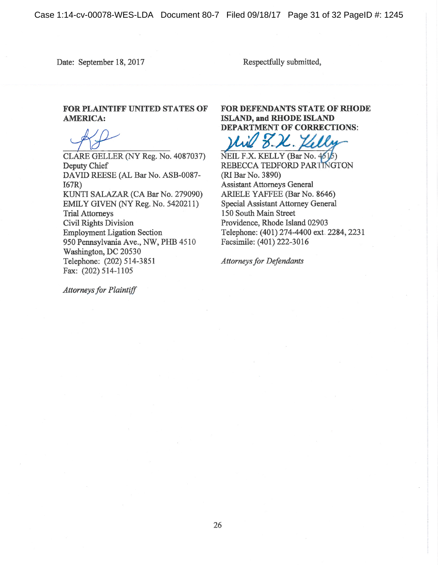Case 1:14-cv-00078-WES-LDA Document 80-7 Filed 09/18/17 Page 31 of 32 PageID #: 1245

Date: September 18, 2017

Respectfully submitted,

## FOR PLAINTIFF UNITED STATES OF **AMERICA:**

CLARE GELLER (NY Reg. No. 4087037) Deputy Chief DAVID REESE (AL Bar No. ASB-0087- $I67R)$ KUNTI SALAZAR (CA Bar No. 279090) EMILY GIVEN (NY Reg. No. 5420211) **Trial Attorneys Civil Rights Division Employment Ligation Section** 950 Pennsylvania Ave., NW, PHB 4510 Washington, DC 20530 Telephone: (202) 514-3851 Fax: (202) 514-1105

**Attorneys for Plaintiff** 

## FOR DEFENDANTS STATE OF RHODE **ISLAND, and RHODE ISLAND DEPARTMENT OF CORRECTIONS:**

NEIL F.X. KELLY (Bar No. 4515) REBECCA TEDFORD PARTINGTON (RI Bar No. 3890) **Assistant Attorneys General** ARIELE YAFFEE (Bar No. 8646) **Special Assistant Attorney General** 150 South Main Street Providence, Rhode Island 02903 Telephone: (401) 274-4400 ext. 2284, 2231 Facsimile: (401) 222-3016

**Attorneys for Defendants**